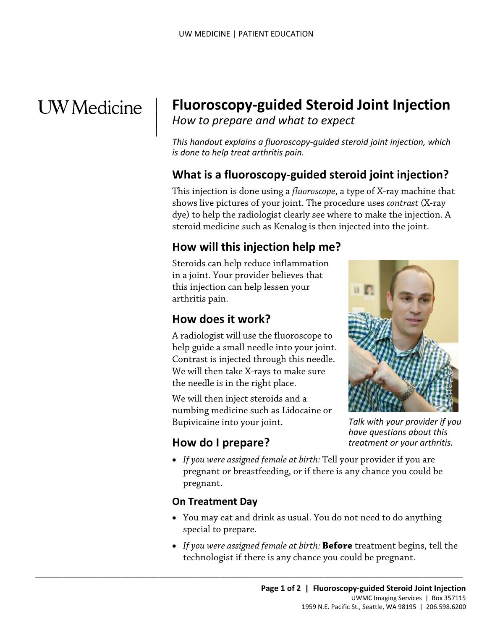# **UW** Medicine

 $\parallel$ 

## | **Fluoroscopy-guided Steroid Joint Injection**

*How to prepare and what to expect* |

*This handout explains a fluoroscopy-guided steroid joint injection, which is done to help treat arthritis pain.* 

#### **What is a fluoroscopy-guided steroid joint injection?**

This injection is done using a *fluoroscope*, a type of X-ray machine that shows live pictures of your joint. The procedure uses *contrast* (X-ray dye) to help the radiologist clearly see where to make the injection. A steroid medicine such as Kenalog is then injected into the joint.

#### **How will this injection help me?**

 Steroids can help reduce inflammation in a joint. Your provider believes that this injection can help lessen your arthritis pain.

#### **How does it work?**

A radiologist will use the fluoroscope to help guide a small needle into your joint. Contrast is injected through this needle. We will then take X-rays to make sure the needle is in the right place.

We will then inject steroids and a numbing medicine such as Lidocaine or Bupivicaine into your joint.

 $\_$  ,  $\_$  ,  $\_$  ,  $\_$  ,  $\_$  ,  $\_$  ,  $\_$  ,  $\_$  ,  $\_$  ,  $\_$  ,  $\_$  ,  $\_$  ,  $\_$  ,  $\_$  ,  $\_$  ,  $\_$  ,  $\_$  ,  $\_$  ,  $\_$  ,  $\_$  ,  $\_$  ,  $\_$  ,  $\_$  ,  $\_$  ,  $\_$  ,  $\_$  ,  $\_$  ,  $\_$  ,  $\_$  ,  $\_$  ,  $\_$  ,  $\_$  ,  $\_$  ,  $\_$  ,  $\_$  ,  $\_$  ,  $\_$  ,

## **How do I prepare?**

• *If you were assigned female at birth:* Tell your provider if you are pregnant or breastfeeding, or if there is any chance you could be pregnant.

#### **On Treatment Day**

- You may eat and drink as usual. You do not need to do anything special to prepare.
- • *If you were assigned female at birth:* **Before** treatment begins, tell the technologist if there is any chance you could be pregnant.



*Talk with your provider if you have questions about this treatment or your arthritis.*